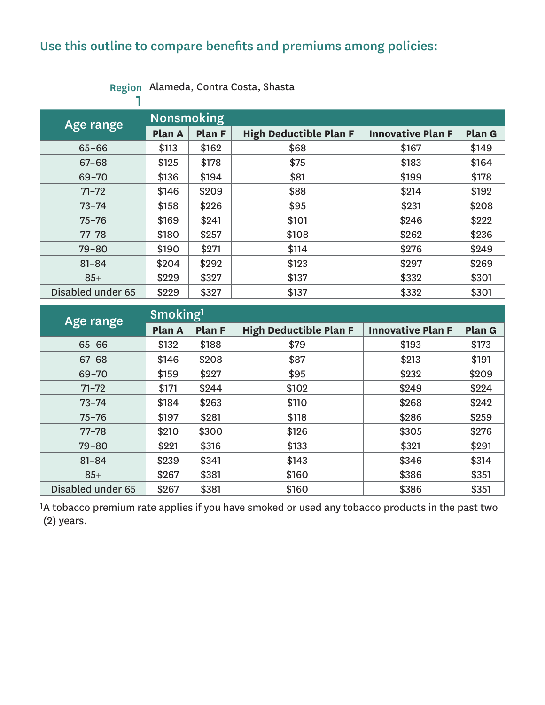# Use this outline to compare benefits and premiums among policies:

| Age range         | <b>Nonsmoking</b> |               |                               |                          |        |  |  |  |
|-------------------|-------------------|---------------|-------------------------------|--------------------------|--------|--|--|--|
|                   | Plan A            | <b>Plan F</b> | <b>High Deductible Plan F</b> | <b>Innovative Plan F</b> | Plan G |  |  |  |
| $65 - 66$         | \$113             | \$162         | \$68                          | \$167                    | \$149  |  |  |  |
| $67 - 68$         | \$125             | \$178         | \$75                          | \$183                    | \$164  |  |  |  |
| $69 - 70$         | \$136             | \$194         | \$81                          | \$199                    | \$178  |  |  |  |
| $71 - 72$         | \$146             | \$209         | \$88                          | \$214                    | \$192  |  |  |  |
| $73 - 74$         | \$158             | \$226         | \$95                          | \$231                    | \$208  |  |  |  |
| $75 - 76$         | \$169             | \$241         | \$101                         | \$246                    | \$222  |  |  |  |
| $77 - 78$         | \$180             | \$257         | \$108                         | \$262                    | \$236  |  |  |  |
| $79 - 80$         | \$190             | \$271         | \$114                         | \$276                    | \$249  |  |  |  |
| $81 - 84$         | \$204             | \$292         | \$123                         | \$297                    | \$269  |  |  |  |
| $85+$             | \$229             | \$327         | \$137                         | \$332                    | \$301  |  |  |  |
| Disabled under 65 | \$229             | \$327         | \$137                         | \$332                    | \$301  |  |  |  |

Region Alameda, Contra Costa, Shasta

| Age range         | Smoking <sup>1</sup>    |       |                               |                          |        |  |  |  |
|-------------------|-------------------------|-------|-------------------------------|--------------------------|--------|--|--|--|
|                   | <b>Plan F</b><br>Plan A |       | <b>High Deductible Plan F</b> | <b>Innovative Plan F</b> | Plan G |  |  |  |
| $65 - 66$         | \$132                   | \$188 | \$79                          | \$193                    | \$173  |  |  |  |
| $67 - 68$         | \$146                   | \$208 | \$87                          | \$213                    | \$191  |  |  |  |
| $69 - 70$         | \$159                   | \$227 | \$95                          | \$232                    | \$209  |  |  |  |
| $71 - 72$         | \$171                   | \$244 | \$102                         | \$249                    | \$224  |  |  |  |
| $73 - 74$         | \$184                   | \$263 | \$110                         | \$268                    | \$242  |  |  |  |
| $75 - 76$         | \$197                   | \$281 | \$118                         | \$286                    | \$259  |  |  |  |
| $77 - 78$         | \$210                   | \$300 | \$126                         | \$305                    | \$276  |  |  |  |
| $79 - 80$         | \$221                   | \$316 | \$133                         | \$321                    | \$291  |  |  |  |
| $81 - 84$         | \$239                   | \$341 | \$143                         | \$346                    | \$314  |  |  |  |
| $85+$             | \$267                   | \$381 | \$160                         | \$386                    | \$351  |  |  |  |
| Disabled under 65 | \$267                   | \$381 | \$160                         | \$386                    | \$351  |  |  |  |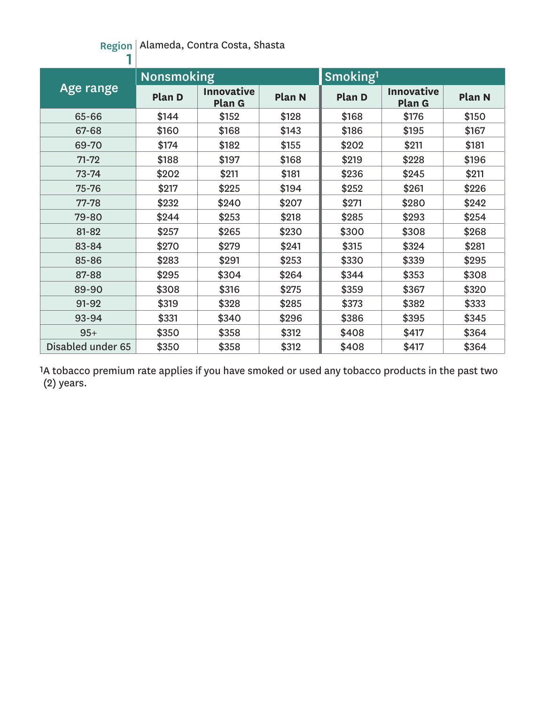#### Region Alameda, Contra Costa, Shasta

|                   | <b>Nonsmoking</b> |                             |               | Smoking <sup>1</sup> |                             |               |
|-------------------|-------------------|-----------------------------|---------------|----------------------|-----------------------------|---------------|
| Age range         | Plan D            | <b>Innovative</b><br>Plan G | <b>Plan N</b> | Plan D               | <b>Innovative</b><br>Plan G | <b>Plan N</b> |
| 65-66             | \$144             | \$152                       | \$128         | \$168                | \$176                       | \$150         |
| 67-68             | \$160             | \$168                       | \$143         | \$186                | \$195                       | \$167         |
| 69-70             | \$174             | \$182                       | \$155         | \$202                | \$211                       | \$181         |
| $71 - 72$         | \$188             | \$197                       | \$168         | \$219                | \$228                       | \$196         |
| $73 - 74$         | \$202             | \$211                       | \$181         | \$236                | \$245                       | \$211         |
| 75-76             | \$217             | \$225                       | \$194         | \$252                | \$261                       | \$226         |
| 77-78             | \$232             | \$240                       | \$207         | \$271                | \$280                       | \$242         |
| 79-80             | \$244             | \$253                       | \$218         | \$285                | \$293                       | \$254         |
| 81-82             | \$257             | \$265                       | \$230         | \$300                | \$308                       | \$268         |
| 83-84             | \$270             | \$279                       | \$241         | \$315                | \$324                       | \$281         |
| 85-86             | \$283             | \$291                       | \$253         | \$330                | \$339                       | \$295         |
| 87-88             | \$295             | \$304                       | \$264         | \$344                | \$353                       | \$308         |
| 89-90             | \$308             | \$316                       | \$275         | \$359                | \$367                       | \$320         |
| 91-92             | \$319             | \$328                       | \$285         | \$373                | \$382                       | \$333         |
| 93-94             | \$331             | \$340                       | \$296         | \$386                | \$395                       | \$345         |
| $95+$             | \$350             | \$358                       | \$312         | \$408                | \$417                       | \$364         |
| Disabled under 65 | \$350             | \$358                       | \$312         | \$408                | \$417                       | \$364         |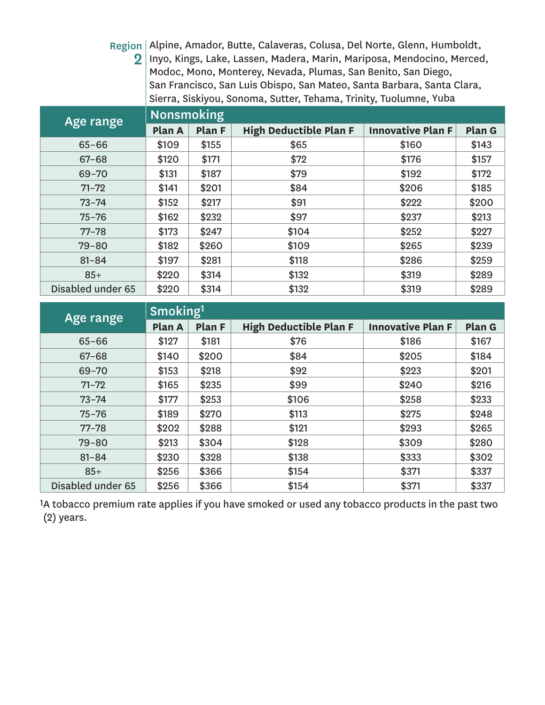Region Alpine, Amador, Butte, Calaveras, Colusa, Del Norte, Glenn, Humboldt,  $\mathbf{2} \, |\,$ Inyo, Kings, Lake, Lassen, Madera, Marin, Mariposa, Mendocino, Merced, Modoc, Mono, Monterey, Nevada, Plumas, San Benito, San Diego, San Francisco, San Luis Obispo, San Mateo, Santa Barbara, Santa Clara, Sierra, Siskiyou, Sonoma, Sutter, Tehama, Trinity, Tuolumne, Yuba

| Age range         | <b>Nonsmoking</b> |        |                               |                          |               |
|-------------------|-------------------|--------|-------------------------------|--------------------------|---------------|
|                   | Plan A            | Plan F | <b>High Deductible Plan F</b> | <b>Innovative Plan F</b> | <b>Plan G</b> |
| $65 - 66$         | \$109             | \$155  | \$65                          | \$160                    | \$143         |
| $67 - 68$         | \$120             | \$171  | \$72                          | \$176                    | \$157         |
| $69 - 70$         | \$131             | \$187  | \$79                          | \$192                    | \$172         |
| $71 - 72$         | \$141             | \$201  | \$84                          | \$206                    | \$185         |
| $73 - 74$         | \$152             | \$217  | \$91                          | \$222                    | \$200         |
| $75 - 76$         | \$162             | \$232  | \$97                          | \$237                    | \$213         |
| $77 - 78$         | \$173             | \$247  | \$104                         | \$252                    | \$227         |
| $79 - 80$         | \$182             | \$260  | \$109                         | \$265                    | \$239         |
| $81 - 84$         | \$197             | \$281  | \$118                         | \$286                    | \$259         |
| $85+$             | \$220             | \$314  | \$132                         | \$319                    | \$289         |
| Disabled under 65 | \$220             | \$314  | \$132                         | \$319                    | \$289         |

| Age range         | Smoking <sup>1</sup> |               |                               |                          |        |
|-------------------|----------------------|---------------|-------------------------------|--------------------------|--------|
|                   | Plan A               | <b>Plan F</b> | <b>High Deductible Plan F</b> | <b>Innovative Plan F</b> | Plan G |
| $65 - 66$         | \$127                | \$181         | \$76                          | \$186                    | \$167  |
| $67 - 68$         | \$140                | \$200         | \$84                          | \$205                    | \$184  |
| $69 - 70$         | \$153                | \$218         | \$92                          | \$223                    | \$201  |
| $71 - 72$         | \$165                | \$235         | \$99                          | \$240                    | \$216  |
| $73 - 74$         | \$177                | \$253         | \$106                         | \$258                    | \$233  |
| $75 - 76$         | \$189                | \$270         | \$113                         | \$275                    | \$248  |
| $77 - 78$         | \$202                | \$288         | \$121                         | \$293                    | \$265  |
| $79 - 80$         | \$213                | \$304         | \$128                         | \$309                    | \$280  |
| $81 - 84$         | \$230                | \$328         | \$138                         | \$333                    | \$302  |
| $85+$             | \$256                | \$366         | \$154                         | \$371                    | \$337  |
| Disabled under 65 | \$256                | \$366         | \$154                         | \$371                    | \$337  |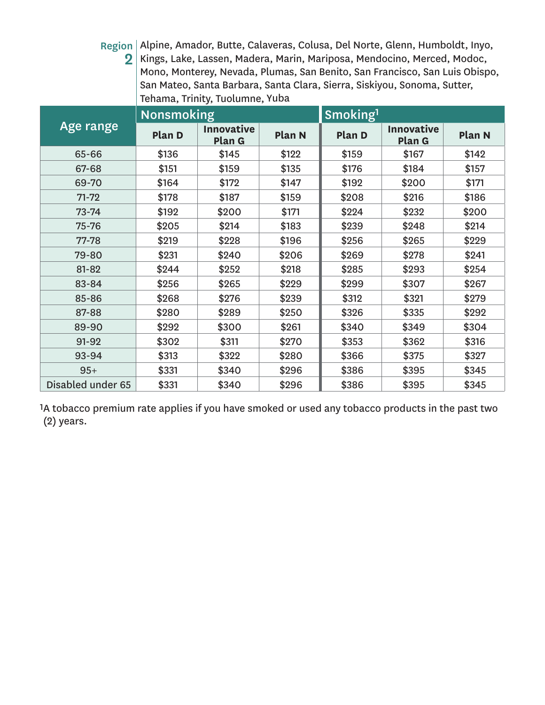Region Alpine, Amador, Butte, Calaveras, Colusa, Del Norte, Glenn, Humboldt, Inyo,  $\mathbf{2} \, |\,$ Kings, Lake, Lassen, Madera, Marin, Mariposa, Mendocino, Merced, Modoc, Mono, Monterey, Nevada, Plumas, San Benito, San Francisco, San Luis Obispo, San Mateo, Santa Barbara, Santa Clara, Sierra, Siskiyou, Sonoma, Sutter, Tehama, Trinity, Tuolumne, Yuba

|                   | <b>Nonsmoking</b> |                             |               | Smoking <sup>1</sup> |                                    |        |  |
|-------------------|-------------------|-----------------------------|---------------|----------------------|------------------------------------|--------|--|
| Age range         | Plan D            | <b>Innovative</b><br>Plan G | <b>Plan N</b> | <b>Plan D</b>        | <b>Innovative</b><br><b>Plan G</b> | Plan N |  |
| 65-66             | \$136             | \$145                       | \$122         | \$159                | \$167                              | \$142  |  |
| 67-68             | \$151             | \$159                       | \$135         | \$176                | \$184                              | \$157  |  |
| 69-70             | \$164             | \$172                       | \$147         | \$192                | \$200                              | \$171  |  |
| $71 - 72$         | \$178             | \$187                       | \$159         | \$208                | \$216                              | \$186  |  |
| $73 - 74$         | \$192             | \$200                       | \$171         | \$224                | \$232                              | \$200  |  |
| 75-76             | \$205             | \$214                       | \$183         | \$239                | \$248                              | \$214  |  |
| 77-78             | \$219             | \$228                       | \$196         | \$256                | \$265                              | \$229  |  |
| 79-80             | \$231             | \$240                       | \$206         | \$269                | \$278                              | \$241  |  |
| 81-82             | \$244             | \$252                       | \$218         | \$285                | \$293                              | \$254  |  |
| 83-84             | \$256             | \$265                       | \$229         | \$299                | \$307                              | \$267  |  |
| 85-86             | \$268             | \$276                       | \$239         | \$312                | \$321                              | \$279  |  |
| 87-88             | \$280             | \$289                       | \$250         | \$326                | \$335                              | \$292  |  |
| 89-90             | \$292             | \$300                       | \$261         | \$340                | \$349                              | \$304  |  |
| 91-92             | \$302             | \$311                       | \$270         | \$353                | \$362                              | \$316  |  |
| 93-94             | \$313             | \$322                       | \$280         | \$366                | \$375                              | \$327  |  |
| $95+$             | \$331             | \$340                       | \$296         | \$386                | \$395                              | \$345  |  |
| Disabled under 65 | \$331             | \$340                       | \$296         | \$386                | \$395                              | \$345  |  |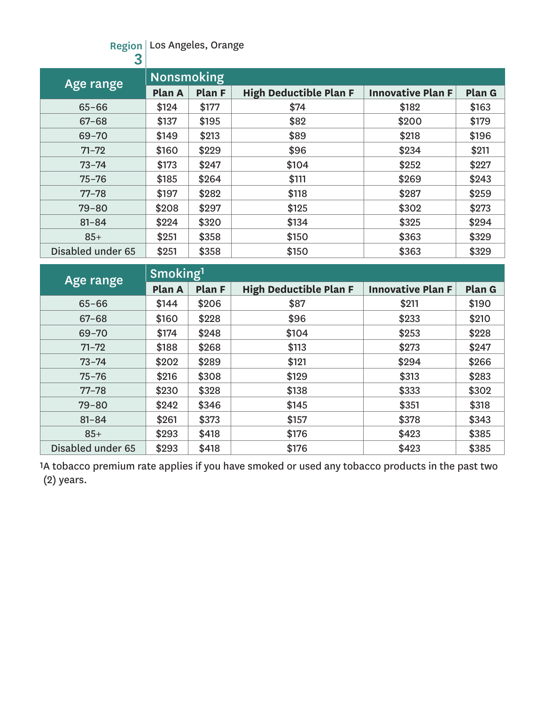#### Region Los Angeles, Orange

| 3                 |                   |               |                               |                          |        |
|-------------------|-------------------|---------------|-------------------------------|--------------------------|--------|
| Age range         | <b>Nonsmoking</b> |               |                               |                          |        |
|                   | Plan A            | <b>Plan F</b> | <b>High Deductible Plan F</b> | <b>Innovative Plan F</b> | Plan G |
| $65 - 66$         | \$124             | \$177         | \$74                          | \$182                    | \$163  |
| $67 - 68$         | \$137             | \$195         | \$82                          | \$200                    | \$179  |
| $69 - 70$         | \$149             | \$213         | \$89                          | \$218                    | \$196  |
| $71 - 72$         | \$160             | \$229         | \$96                          | \$234                    | \$211  |
| $73 - 74$         | \$173             | \$247         | \$104                         | \$252                    | \$227  |
| $75 - 76$         | \$185             | \$264         | \$111                         | \$269                    | \$243  |
| $77 - 78$         | \$197             | \$282         | \$118                         | \$287                    | \$259  |
| $79 - 80$         | \$208             | \$297         | \$125                         | \$302                    | \$273  |
| $81 - 84$         | \$224             | \$320         | \$134                         | \$325                    | \$294  |
| $85+$             | \$251             | \$358         | \$150                         | \$363                    | \$329  |
| Disabled under 65 | \$251             | \$358         | \$150                         | \$363                    | \$329  |

| Age range         | Smoking <sup>1</sup> |                                         |       |                          |        |  |  |  |
|-------------------|----------------------|-----------------------------------------|-------|--------------------------|--------|--|--|--|
|                   | Plan A               | <b>High Deductible Plan F</b><br>Plan F |       | <b>Innovative Plan F</b> | Plan G |  |  |  |
| $65 - 66$         | \$144                | \$206                                   | \$87  | \$211                    | \$190  |  |  |  |
| $67 - 68$         | \$160                | \$228                                   | \$96  | \$233                    | \$210  |  |  |  |
| $69 - 70$         | \$174                | \$248                                   | \$104 | \$253                    | \$228  |  |  |  |
| $71 - 72$         | \$188                | \$268                                   | \$113 | \$273                    | \$247  |  |  |  |
| $73 - 74$         | \$202                | \$289                                   | \$121 | \$294                    | \$266  |  |  |  |
| $75 - 76$         | \$216                | \$308                                   | \$129 | \$313                    | \$283  |  |  |  |
| $77 - 78$         | \$230                | \$328                                   | \$138 | \$333                    | \$302  |  |  |  |
| $79 - 80$         | \$242                | \$346                                   | \$145 | \$351                    | \$318  |  |  |  |
| $81 - 84$         | \$261                | \$373                                   | \$157 | \$378                    | \$343  |  |  |  |
| $85+$             | \$293                | \$418                                   | \$176 | \$423                    | \$385  |  |  |  |
| Disabled under 65 | \$293                | \$418                                   | \$176 | \$423                    | \$385  |  |  |  |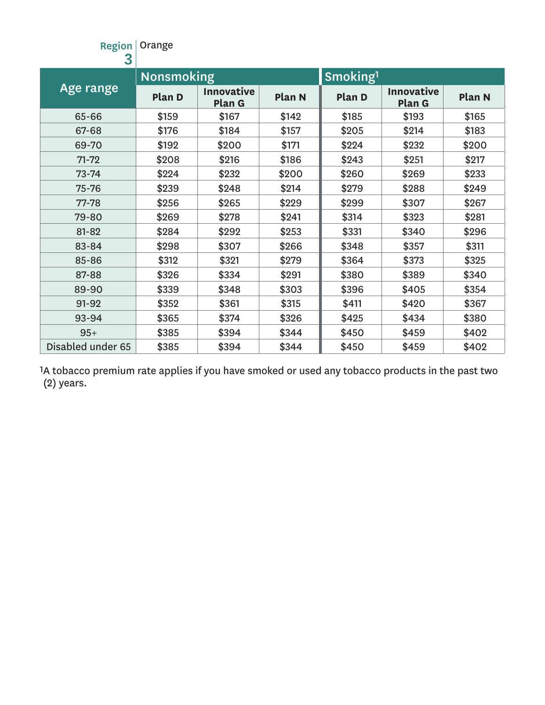| <b>Region</b><br>3 | Orange            |                             |               |                      |                             |               |
|--------------------|-------------------|-----------------------------|---------------|----------------------|-----------------------------|---------------|
|                    | <b>Nonsmoking</b> |                             |               | Smoking <sup>1</sup> |                             |               |
| Age range          | Plan D            | <b>Innovative</b><br>Plan G | <b>Plan N</b> | <b>Plan D</b>        | <b>Innovative</b><br>Plan G | <b>Plan N</b> |
| 65-66              | \$159             | \$167                       | \$142         | \$185                | \$193                       | \$165         |
| 67-68              | \$176             | \$184                       | \$157         | \$205                | \$214                       | \$183         |
| 69-70              | \$192             | \$200                       | \$171         | \$224                | \$232                       | \$200         |
| $71 - 72$          | \$208             | \$216                       | \$186         | \$243                | \$251                       | \$217         |
| $73 - 74$          | \$224             | \$232                       | \$200         | \$260                | \$269                       | \$233         |
| 75-76              | \$239             | \$248                       | \$214         | \$279                | \$288                       | \$249         |
| 77-78              | \$256             | \$265                       | \$229         | \$299                | \$307                       | \$267         |
| 79-80              | \$269             | \$278                       | \$241         | \$314                | \$323                       | \$281         |
| 81-82              | \$284             | \$292                       | \$253         | \$331                | \$340                       | \$296         |
| 83-84              | \$298             | \$307                       | \$266         | \$348                | \$357                       | \$311         |
| 85-86              | \$312             | \$321                       | \$279         | \$364                | \$373                       | \$325         |
| 87-88              | \$326             | \$334                       | \$291         | \$380                | \$389                       | \$340         |
| 89-90              | \$339             | \$348                       | \$303         | \$396                | \$405                       | \$354         |
| 91-92              | \$352             | \$361                       | \$315         | \$411                | \$420                       | \$367         |
| 93-94              | \$365             | \$374                       | \$326         | \$425                | \$434                       | \$380         |
| $95+$              | \$385             | \$394                       | \$344         | \$450                | \$459                       | \$402         |
| Disabled under 65  | \$385             | \$394                       | \$344         | \$450                | \$459                       | \$402         |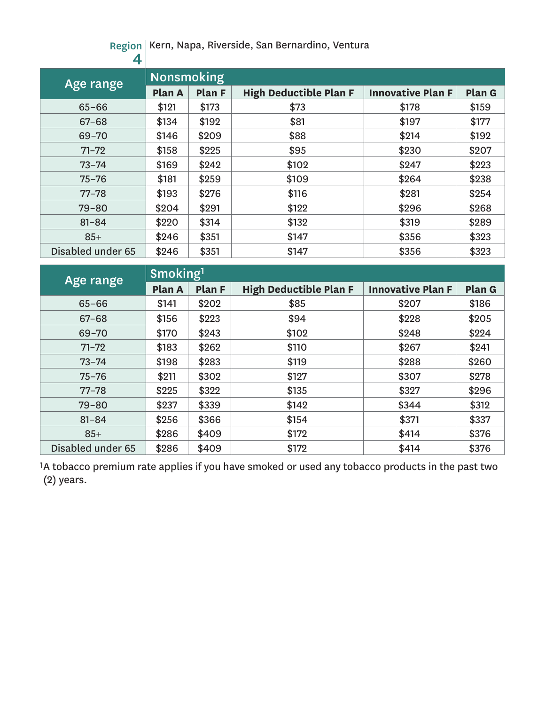Region Kern, Napa, Riverside, San Bernardino, Ventura

| 4                 |                   |               |                               |                          |        |
|-------------------|-------------------|---------------|-------------------------------|--------------------------|--------|
| Age range         | <b>Nonsmoking</b> |               |                               |                          |        |
|                   | Plan A            | <b>Plan F</b> | <b>High Deductible Plan F</b> | <b>Innovative Plan F</b> | Plan G |
| $65 - 66$         | \$121             | \$173         | \$73                          | \$178                    | \$159  |
| $67 - 68$         | \$134             | \$192         | \$81                          | \$197                    | \$177  |
| $69 - 70$         | \$146             | \$209         | \$88                          | \$214                    | \$192  |
| $71 - 72$         | \$158             | \$225         | \$95                          | \$230                    | \$207  |
| $73 - 74$         | \$169             | \$242         | \$102                         | \$247                    | \$223  |
| $75 - 76$         | \$181             | \$259         | \$109                         | \$264                    | \$238  |
| $77 - 78$         | \$193             | \$276         | \$116                         | \$281                    | \$254  |
| $79 - 80$         | \$204             | \$291         | \$122                         | \$296                    | \$268  |
| $81 - 84$         | \$220             | \$314         | \$132                         | \$319                    | \$289  |
| $85+$             | \$246             | \$351         | \$147                         | \$356                    | \$323  |
| Disabled under 65 | \$246             | \$351         | \$147                         | \$356                    | \$323  |

| Age range         | Smoking <sup>1</sup> |        |                               |                          |        |  |  |  |
|-------------------|----------------------|--------|-------------------------------|--------------------------|--------|--|--|--|
|                   | Plan A               | Plan F | <b>High Deductible Plan F</b> | <b>Innovative Plan F</b> | Plan G |  |  |  |
| $65 - 66$         | \$141                | \$202  | \$85                          | \$207                    | \$186  |  |  |  |
| $67 - 68$         | \$156                | \$223  | \$94                          | \$228                    | \$205  |  |  |  |
| $69 - 70$         | \$170                | \$243  | \$102                         | \$248                    | \$224  |  |  |  |
| $71 - 72$         | \$183                | \$262  | \$110                         | \$267                    | \$241  |  |  |  |
| $73 - 74$         | \$198                | \$283  | \$119                         | \$288                    | \$260  |  |  |  |
| $75 - 76$         | \$211                | \$302  | \$127                         | \$307                    | \$278  |  |  |  |
| $77 - 78$         | \$225                | \$322  | \$135                         | \$327                    | \$296  |  |  |  |
| $79 - 80$         | \$237                | \$339  | \$142                         | \$344                    | \$312  |  |  |  |
| $81 - 84$         | \$256                | \$366  | \$154                         | \$371                    | \$337  |  |  |  |
| $85+$             | \$286                | \$409  | \$172                         | \$414                    | \$376  |  |  |  |
| Disabled under 65 | \$286                | \$409  | \$172                         | \$414                    | \$376  |  |  |  |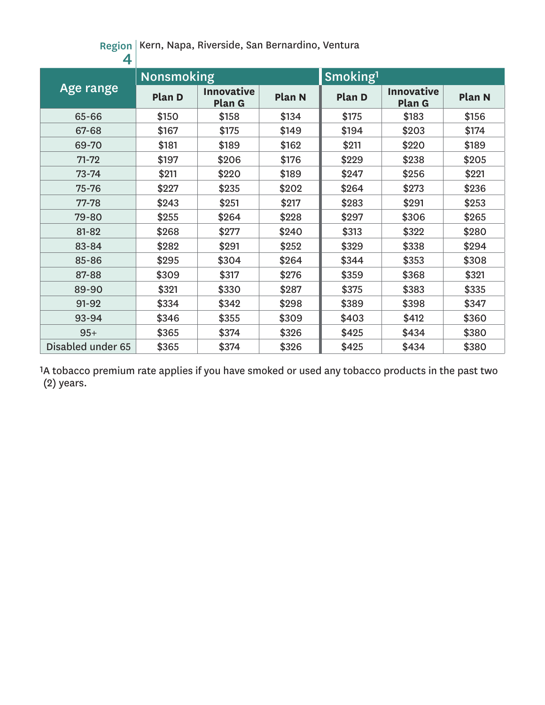Region Kern, Napa, Riverside, San Bernardino, Ventura

| 4                 |                   |                             |               |                      |                             |        |
|-------------------|-------------------|-----------------------------|---------------|----------------------|-----------------------------|--------|
|                   | <b>Nonsmoking</b> |                             |               | Smoking <sup>1</sup> |                             |        |
| Age range         | Plan D            | <b>Innovative</b><br>Plan G | <b>Plan N</b> | <b>Plan D</b>        | <b>Innovative</b><br>Plan G | Plan N |
| 65-66             | \$150             | \$158                       | \$134         | \$175                | \$183                       | \$156  |
| 67-68             | \$167             | \$175                       | \$149         | \$194                | \$203                       | \$174  |
| 69-70             | \$181             | \$189                       | \$162         | \$211                | \$220                       | \$189  |
| $71 - 72$         | \$197             | \$206                       | \$176         | \$229                | \$238                       | \$205  |
| $73 - 74$         | \$211             | \$220                       | \$189         | \$247                | \$256                       | \$221  |
| 75-76             | \$227             | \$235                       | \$202         | \$264                | \$273                       | \$236  |
| 77-78             | \$243             | \$251                       | \$217         | \$283                | \$291                       | \$253  |
| 79-80             | \$255             | \$264                       | \$228         | \$297                | \$306                       | \$265  |
| 81-82             | \$268             | \$277                       | \$240         | \$313                | \$322                       | \$280  |
| 83-84             | \$282             | \$291                       | \$252         | \$329                | \$338                       | \$294  |
| 85-86             | \$295             | \$304                       | \$264         | \$344                | \$353                       | \$308  |
| 87-88             | \$309             | \$317                       | \$276         | \$359                | \$368                       | \$321  |
| 89-90             | \$321             | \$330                       | \$287         | \$375                | \$383                       | \$335  |
| 91-92             | \$334             | \$342                       | \$298         | \$389                | \$398                       | \$347  |
| 93-94             | \$346             | \$355                       | \$309         | \$403                | \$412                       | \$360  |
| $95+$             | \$365             | \$374                       | \$326         | \$425                | \$434                       | \$380  |
| Disabled under 65 | \$365             | \$374                       | \$326         | \$425                | \$434                       | \$380  |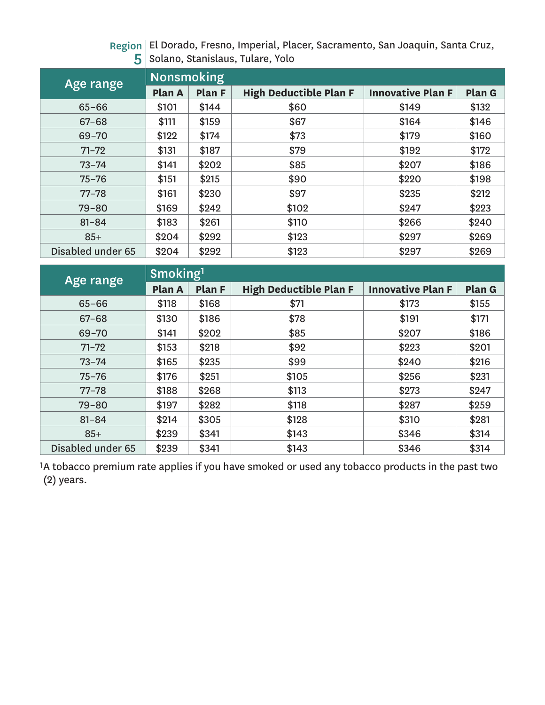Region El Dorado, Fresno, Imperial, Placer, Sacramento, San Joaquin, Santa Cruz,  ${\bf 5} \, |\,$ Solano, Stanislaus, Tulare, Yolo

| Age range         | <b>Nonsmoking</b> |        |                               |                          |        |  |  |  |
|-------------------|-------------------|--------|-------------------------------|--------------------------|--------|--|--|--|
|                   | Plan A            | Plan F | <b>High Deductible Plan F</b> | <b>Innovative Plan F</b> | Plan G |  |  |  |
| $65 - 66$         | \$101             | \$144  | \$60                          | \$149                    | \$132  |  |  |  |
| $67 - 68$         | \$111             | \$159  | \$67                          | \$164                    | \$146  |  |  |  |
| $69 - 70$         | \$122             | \$174  | \$73                          | \$179                    | \$160  |  |  |  |
| $71 - 72$         | \$131             | \$187  | \$79                          | \$192                    | \$172  |  |  |  |
| $73 - 74$         | \$141             | \$202  | \$85                          | \$207                    | \$186  |  |  |  |
| $75 - 76$         | \$151             | \$215  | \$90                          | \$220                    | \$198  |  |  |  |
| $77 - 78$         | \$161             | \$230  | \$97                          | \$235                    | \$212  |  |  |  |
| $79 - 80$         | \$169             | \$242  | \$102                         | \$247                    | \$223  |  |  |  |
| $81 - 84$         | \$183             | \$261  | \$110                         | \$266                    | \$240  |  |  |  |
| $85+$             | \$204             | \$292  | \$123                         | \$297                    | \$269  |  |  |  |
| Disabled under 65 | \$204             | \$292  | \$123                         | \$297                    | \$269  |  |  |  |

| Age range         | Smoking <sup>1</sup> |        |                               |                          |        |  |  |  |
|-------------------|----------------------|--------|-------------------------------|--------------------------|--------|--|--|--|
|                   | Plan A               | Plan F | <b>High Deductible Plan F</b> | <b>Innovative Plan F</b> | Plan G |  |  |  |
| $65 - 66$         | \$118                | \$168  | \$71                          | \$173                    | \$155  |  |  |  |
| $67 - 68$         | \$130                | \$186  | \$78                          | \$191                    | \$171  |  |  |  |
| $69 - 70$         | \$141                | \$202  | \$85                          | \$207                    | \$186  |  |  |  |
| $71 - 72$         | \$153                | \$218  | \$92                          | \$223                    | \$201  |  |  |  |
| $73 - 74$         | \$165                | \$235  | \$99                          | \$240                    | \$216  |  |  |  |
| $75 - 76$         | \$176                | \$251  | \$105                         | \$256                    | \$231  |  |  |  |
| $77 - 78$         | \$188                | \$268  | \$113                         | \$273                    | \$247  |  |  |  |
| $79 - 80$         | \$197                | \$282  | \$118                         | \$287                    | \$259  |  |  |  |
| $81 - 84$         | \$214                | \$305  | \$128                         | \$310                    | \$281  |  |  |  |
| $85+$             | \$239                | \$341  | \$143                         | \$346                    | \$314  |  |  |  |
| Disabled under 65 | \$239                | \$341  | \$143                         | \$346                    | \$314  |  |  |  |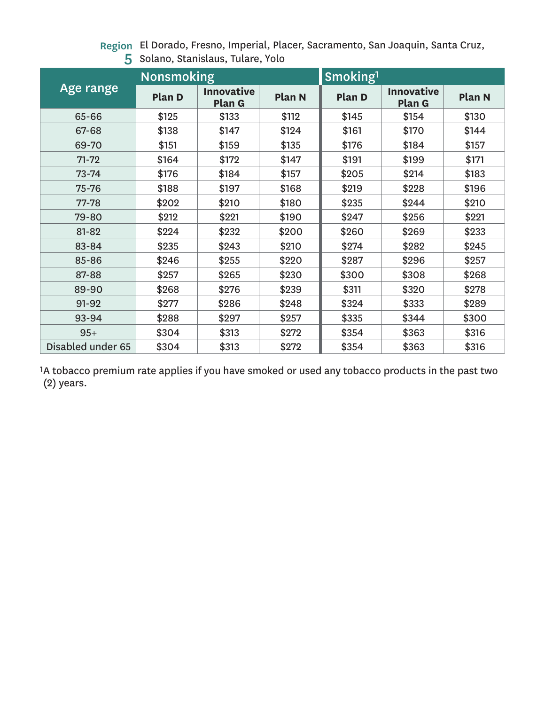Region El Dorado, Fresno, Imperial, Placer, Sacramento, San Joaquin, Santa Cruz,  ${\bf 5} \, |\,$ Solano, Stanislaus, Tulare, Yolo

|                   | <b>Nonsmoking</b> |                             |               | Smoking <sup>1</sup> |                             |        |  |
|-------------------|-------------------|-----------------------------|---------------|----------------------|-----------------------------|--------|--|
| Age range         | Plan D            | <b>Innovative</b><br>Plan G | <b>Plan N</b> | <b>Plan D</b>        | <b>Innovative</b><br>Plan G | Plan N |  |
| 65-66             | \$125             | \$133                       | \$112         | \$145                | \$154                       | \$130  |  |
| 67-68             | \$138             | \$147                       | \$124         | \$161                | \$170                       | \$144  |  |
| 69-70             | \$151             | \$159                       | \$135         | \$176                | \$184                       | \$157  |  |
| $71 - 72$         | \$164             | \$172                       | \$147         | \$191                | \$199                       | \$171  |  |
| $73 - 74$         | \$176             | \$184                       | \$157         | \$205                | \$214                       | \$183  |  |
| 75-76             | \$188             | \$197                       | \$168         | \$219                | \$228                       | \$196  |  |
| 77-78             | \$202             | \$210                       | \$180         | \$235                | \$244                       | \$210  |  |
| 79-80             | \$212             | \$221                       | \$190         | \$247                | \$256                       | \$221  |  |
| 81-82             | \$224             | \$232                       | \$200         | \$260                | \$269                       | \$233  |  |
| 83-84             | \$235             | \$243                       | \$210         | \$274                | \$282                       | \$245  |  |
| 85-86             | \$246             | \$255                       | \$220         | \$287                | \$296                       | \$257  |  |
| 87-88             | \$257             | \$265                       | \$230         | \$300                | \$308                       | \$268  |  |
| 89-90             | \$268             | \$276                       | \$239         | \$311                | \$320                       | \$278  |  |
| 91-92             | \$277             | \$286                       | \$248         | \$324                | \$333                       | \$289  |  |
| 93-94             | \$288             | \$297                       | \$257         | \$335                | \$344                       | \$300  |  |
| $95+$             | \$304             | \$313                       | \$272         | \$354                | \$363                       | \$316  |  |
| Disabled under 65 | \$304             | \$313                       | \$272         | \$354                | \$363                       | \$316  |  |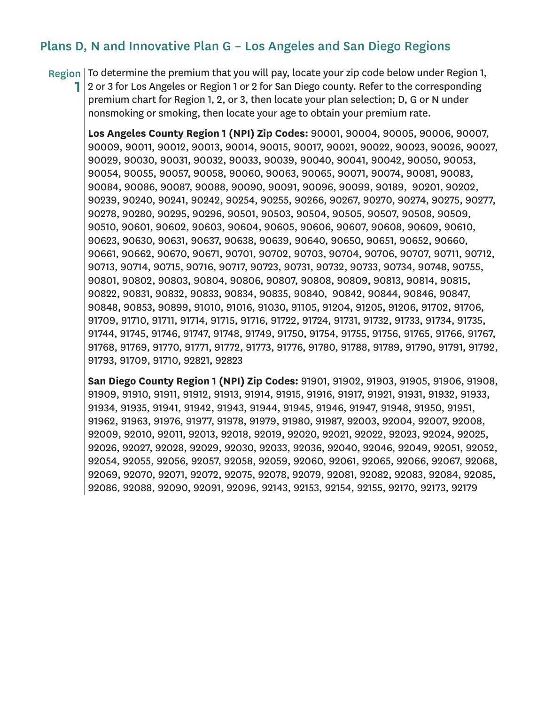### Plans D, N and Innovative Plan G – Los Angeles and San Diego Regions

Region | To determine the premium that you will pay, locate your zip code below under Region 1,

1 2 or 3 for Los Angeles or Region 1 or 2 for San Diego county. Refer to the corresponding premium chart for Region 1, 2, or 3, then locate your plan selection; D, G or N under nonsmoking or smoking, then locate your age to obtain your premium rate.

**Los Angeles County Region 1 (NPI) Zip Codes:** 90001, 90004, 90005, 90006, 90007, 90009, 90011, 90012, 90013, 90014, 90015, 90017, 90021, 90022, 90023, 90026, 90027, 90029, 90030, 90031, 90032, 90033, 90039, 90040, 90041, 90042, 90050, 90053, 90054, 90055, 90057, 90058, 90060, 90063, 90065, 90071, 90074, 90081, 90083, 90084, 90086, 90087, 90088, 90090, 90091, 90096, 90099, 90189, 90201, 90202, 90239, 90240, 90241, 90242, 90254, 90255, 90266, 90267, 90270, 90274, 90275, 90277, 90278, 90280, 90295, 90296, 90501, 90503, 90504, 90505, 90507, 90508, 90509, 90510, 90601, 90602, 90603, 90604, 90605, 90606, 90607, 90608, 90609, 90610, 90623, 90630, 90631, 90637, 90638, 90639, 90640, 90650, 90651, 90652, 90660, 90661, 90662, 90670, 90671, 90701, 90702, 90703, 90704, 90706, 90707, 90711, 90712, 90713, 90714, 90715, 90716, 90717, 90723, 90731, 90732, 90733, 90734, 90748, 90755, 90801, 90802, 90803, 90804, 90806, 90807, 90808, 90809, 90813, 90814, 90815, 90822, 90831, 90832, 90833, 90834, 90835, 90840, 90842, 90844, 90846, 90847, 90848, 90853, 90899, 91010, 91016, 91030, 91105, 91204, 91205, 91206, 91702, 91706, 91709, 91710, 91711, 91714, 91715, 91716, 91722, 91724, 91731, 91732, 91733, 91734, 91735, 91744, 91745, 91746, 91747, 91748, 91749, 91750, 91754, 91755, 91756, 91765, 91766, 91767, 91768, 91769, 91770, 91771, 91772, 91773, 91776, 91780, 91788, 91789, 91790, 91791, 91792, 91793, 91709, 91710, 92821, 92823

**San Diego County Region 1 (NPI) Zip Codes:** 91901, 91902, 91903, 91905, 91906, 91908, 91909, 91910, 91911, 91912, 91913, 91914, 91915, 91916, 91917, 91921, 91931, 91932, 91933, 91934, 91935, 91941, 91942, 91943, 91944, 91945, 91946, 91947, 91948, 91950, 91951, 91962, 91963, 91976, 91977, 91978, 91979, 91980, 91987, 92003, 92004, 92007, 92008, 92009, 92010, 92011, 92013, 92018, 92019, 92020, 92021, 92022, 92023, 92024, 92025, 92026, 92027, 92028, 92029, 92030, 92033, 92036, 92040, 92046, 92049, 92051, 92052, 92054, 92055, 92056, 92057, 92058, 92059, 92060, 92061, 92065, 92066, 92067, 92068, 92069, 92070, 92071, 92072, 92075, 92078, 92079, 92081, 92082, 92083, 92084, 92085, 92086, 92088, 92090, 92091, 92096, 92143, 92153, 92154, 92155, 92170, 92173, 92179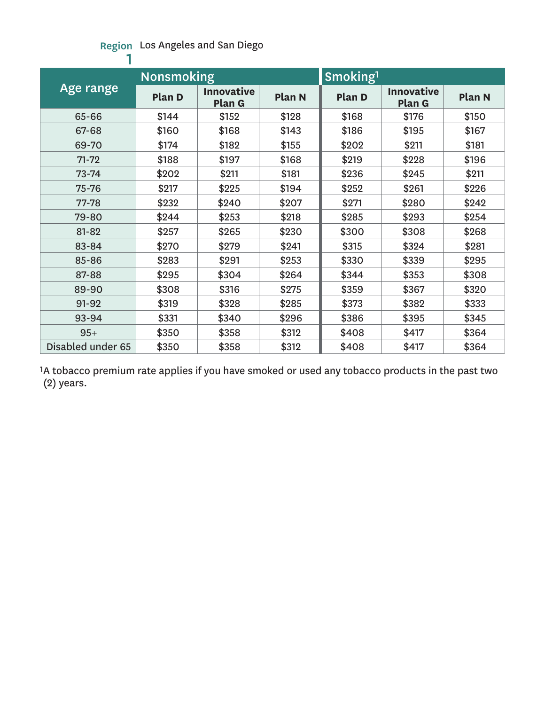#### Region Los Angeles and San Diego

|                   | <b>Nonsmoking</b> |                             |               | Smoking <sup>1</sup> |                             |               |  |
|-------------------|-------------------|-----------------------------|---------------|----------------------|-----------------------------|---------------|--|
| Age range         | Plan D            | <b>Innovative</b><br>Plan G | <b>Plan N</b> | Plan D               | <b>Innovative</b><br>Plan G | <b>Plan N</b> |  |
| 65-66             | \$144             | \$152                       | \$128         | \$168                | \$176                       | \$150         |  |
| 67-68             | \$160             | \$168                       | \$143         | \$186                | \$195                       | \$167         |  |
| 69-70             | \$174             | \$182                       | \$155         | \$202                | \$211                       | \$181         |  |
| $71 - 72$         | \$188             | \$197                       | \$168         | \$219                | \$228                       | \$196         |  |
| $73 - 74$         | \$202             | \$211                       | \$181         | \$236                | \$245                       | \$211         |  |
| 75-76             | \$217             | \$225                       | \$194         | \$252                | \$261                       | \$226         |  |
| 77-78             | \$232             | \$240                       | \$207         | \$271                | \$280                       | \$242         |  |
| 79-80             | \$244             | \$253                       | \$218         | \$285                | \$293                       | \$254         |  |
| 81-82             | \$257             | \$265                       | \$230         | \$300                | \$308                       | \$268         |  |
| 83-84             | \$270             | \$279                       | \$241         | \$315                | \$324                       | \$281         |  |
| 85-86             | \$283             | \$291                       | \$253         | \$330                | \$339                       | \$295         |  |
| 87-88             | \$295             | \$304                       | \$264         | \$344                | \$353                       | \$308         |  |
| 89-90             | \$308             | \$316                       | \$275         | \$359                | \$367                       | \$320         |  |
| 91-92             | \$319             | \$328                       | \$285         | \$373                | \$382                       | \$333         |  |
| 93-94             | \$331             | \$340                       | \$296         | \$386                | \$395                       | \$345         |  |
| $95+$             | \$350             | \$358                       | \$312         | \$408                | \$417                       | \$364         |  |
| Disabled under 65 | \$350             | \$358                       | \$312         | \$408                | \$417                       | \$364         |  |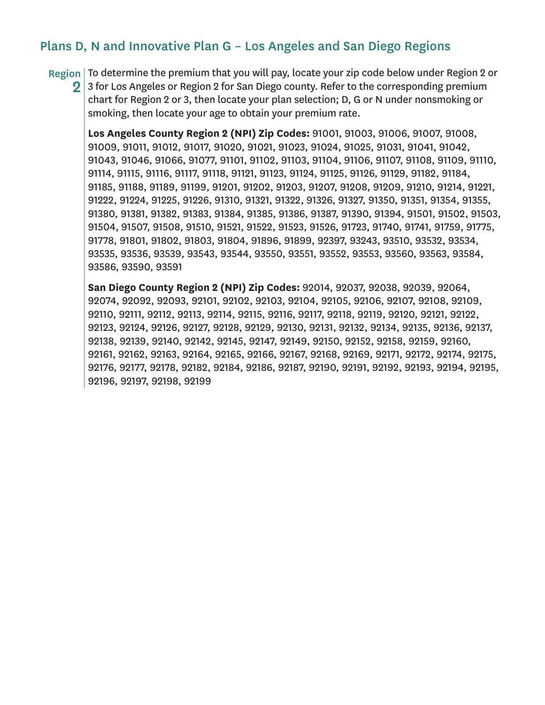### Plans D, N and Innovative Plan G – Los Angeles and San Diego Regions

Region To determine the premium that you will pay, locate your zip code below under Region 2 or

2 3 for Los Angeles or Region 2 for San Diego county. Refer to the corresponding premium chart for Region 2 or 3, then locate your plan selection; D, G or N under nonsmoking or smoking, then locate your age to obtain your premium rate.

**Los Angeles County Region 2 (NPI) Zip Codes:** 91001, 91003, 91006, 91007, 91008, 91009, 91011, 91012, 91017, 91020, 91021, 91023, 91024, 91025, 91031, 91041, 91042, 91043, 91046, 91066, 91077, 91101, 91102, 91103, 91104, 91106, 91107, 91108, 91109, 91110, 91114, 91115, 91116, 91117, 91118, 91121, 91123, 91124, 91125, 91126, 91129, 91182, 91184, 91185, 91188, 91189, 91199, 91201, 91202, 91203, 91207, 91208, 91209, 91210, 91214, 91221, 91222, 91224, 91225, 91226, 91310, 91321, 91322, 91326, 91327, 91350, 91351, 91354, 91355, 91380, 91381, 91382, 91383, 91384, 91385, 91386, 91387, 91390, 91394, 91501, 91502, 91503, 91504, 91507, 91508, 91510, 91521, 91522, 91523, 91526, 91723, 91740, 91741, 91759, 91775, 91778, 91801, 91802, 91803, 91804, 91896, 91899, 92397, 93243, 93510, 93532, 93534, 93535, 93536, 93539, 93543, 93544, 93550, 93551, 93552, 93553, 93560, 93563, 93584, 93586, 93590, 93591

**San Diego County Region 2 (NPI) Zip Codes:** 92014, 92037, 92038, 92039, 92064, 92074, 92092, 92093, 92101, 92102, 92103, 92104, 92105, 92106, 92107, 92108, 92109, 92110, 92111, 92112, 92113, 92114, 92115, 92116, 92117, 92118, 92119, 92120, 92121, 92122, 92123, 92124, 92126, 92127, 92128, 92129, 92130, 92131, 92132, 92134, 92135, 92136, 92137, 92138, 92139, 92140, 92142, 92145, 92147, 92149, 92150, 92152, 92158, 92159, 92160, 92161, 92162, 92163, 92164, 92165, 92166, 92167, 92168, 92169, 92171, 92172, 92174, 92175, 92176, 92177, 92178, 92182, 92184, 92186, 92187, 92190, 92191, 92192, 92193, 92194, 92195, 92196, 92197, 92198, 92199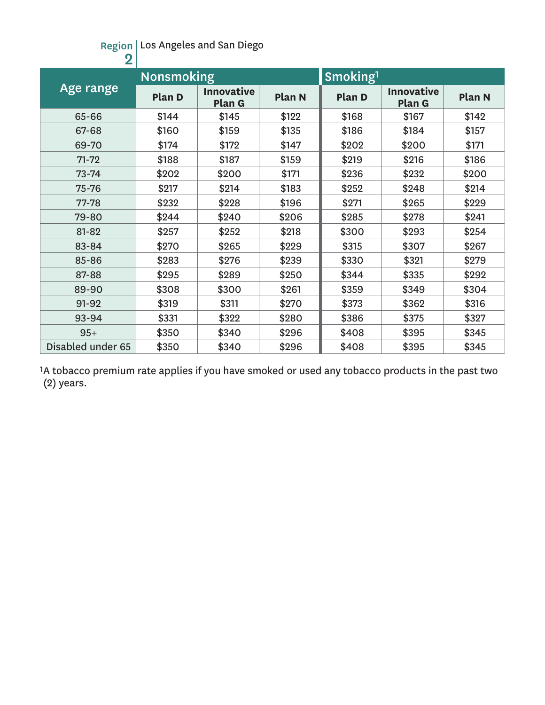#### Region Los Angeles and San Diego

| $\overline{\mathbf{2}}$ |                   |                             |               |                      |                             |        |
|-------------------------|-------------------|-----------------------------|---------------|----------------------|-----------------------------|--------|
|                         | <b>Nonsmoking</b> |                             |               | Smoking <sup>1</sup> |                             |        |
| Age range               | Plan D            | <b>Innovative</b><br>Plan G | <b>Plan N</b> | Plan D               | <b>Innovative</b><br>Plan G | Plan N |
| 65-66                   | \$144             | \$145                       | \$122         | \$168                | \$167                       | \$142  |
| 67-68                   | \$160             | \$159                       | \$135         | \$186                | \$184                       | \$157  |
| 69-70                   | \$174             | \$172                       | \$147         | \$202                | \$200                       | \$171  |
| $71 - 72$               | \$188             | \$187                       | \$159         | \$219                | \$216                       | \$186  |
| $73 - 74$               | \$202             | \$200                       | \$171         | \$236                | \$232                       | \$200  |
| 75-76                   | \$217             | \$214                       | \$183         | \$252                | \$248                       | \$214  |
| 77-78                   | \$232             | \$228                       | \$196         | \$271                | \$265                       | \$229  |
| 79-80                   | \$244             | \$240                       | \$206         | \$285                | \$278                       | \$241  |
| 81-82                   | \$257             | \$252                       | \$218         | \$300                | \$293                       | \$254  |
| 83-84                   | \$270             | \$265                       | \$229         | \$315                | \$307                       | \$267  |
| 85-86                   | \$283             | \$276                       | \$239         | \$330                | \$321                       | \$279  |
| 87-88                   | \$295             | \$289                       | \$250         | \$344                | \$335                       | \$292  |
| 89-90                   | \$308             | \$300                       | \$261         | \$359                | \$349                       | \$304  |
| 91-92                   | \$319             | \$311                       | \$270         | \$373                | \$362                       | \$316  |
| 93-94                   | \$331             | \$322                       | \$280         | \$386                | \$375                       | \$327  |
| $95+$                   | \$350             | \$340                       | \$296         | \$408                | \$395                       | \$345  |
| Disabled under 65       | \$350             | \$340                       | \$296         | \$408                | \$395                       | \$345  |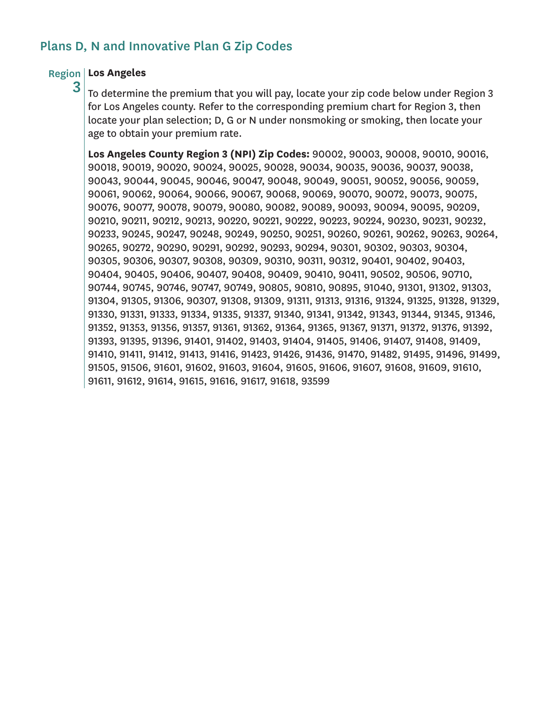## Plans D, N and Innovative Plan G Zip Codes

### Region **Los Angeles**

3

To determine the premium that you will pay, locate your zip code below under Region 3 for Los Angeles county. Refer to the corresponding premium chart for Region 3, then locate your plan selection; D, G or N under nonsmoking or smoking, then locate your age to obtain your premium rate.

**Los Angeles County Region 3 (NPI) Zip Codes:** 90002, 90003, 90008, 90010, 90016, 90018, 90019, 90020, 90024, 90025, 90028, 90034, 90035, 90036, 90037, 90038, 90043, 90044, 90045, 90046, 90047, 90048, 90049, 90051, 90052, 90056, 90059, 90061, 90062, 90064, 90066, 90067, 90068, 90069, 90070, 90072, 90073, 90075, 90076, 90077, 90078, 90079, 90080, 90082, 90089, 90093, 90094, 90095, 90209, 90210, 90211, 90212, 90213, 90220, 90221, 90222, 90223, 90224, 90230, 90231, 90232, 90233, 90245, 90247, 90248, 90249, 90250, 90251, 90260, 90261, 90262, 90263, 90264, 90265, 90272, 90290, 90291, 90292, 90293, 90294, 90301, 90302, 90303, 90304, 90305, 90306, 90307, 90308, 90309, 90310, 90311, 90312, 90401, 90402, 90403, 90404, 90405, 90406, 90407, 90408, 90409, 90410, 90411, 90502, 90506, 90710, 90744, 90745, 90746, 90747, 90749, 90805, 90810, 90895, 91040, 91301, 91302, 91303, 91304, 91305, 91306, 90307, 91308, 91309, 91311, 91313, 91316, 91324, 91325, 91328, 91329, 91330, 91331, 91333, 91334, 91335, 91337, 91340, 91341, 91342, 91343, 91344, 91345, 91346, 91352, 91353, 91356, 91357, 91361, 91362, 91364, 91365, 91367, 91371, 91372, 91376, 91392, 91393, 91395, 91396, 91401, 91402, 91403, 91404, 91405, 91406, 91407, 91408, 91409, 91410, 91411, 91412, 91413, 91416, 91423, 91426, 91436, 91470, 91482, 91495, 91496, 91499, 91505, 91506, 91601, 91602, 91603, 91604, 91605, 91606, 91607, 91608, 91609, 91610, 91611, 91612, 91614, 91615, 91616, 91617, 91618, 93599